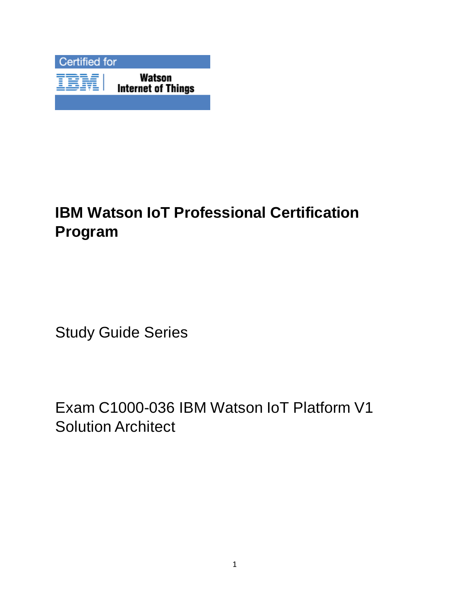

# **IBM Watson IoT Professional Certification Program**

Study Guide Series

Exam C1000-036 IBM Watson IoT Platform V1 Solution Architect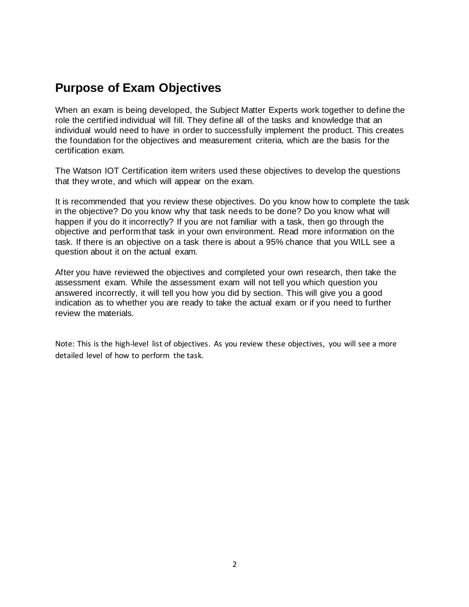## **Purpose of Exam Objectives**

When an exam is being developed, the Subject Matter Experts work together to define the role the certified individual will fill. They define all of the tasks and knowledge that an individual would need to have in order to successfully implement the product. This creates the foundation for the objectives and measurement criteria, which are the basis for the certification exam.

The Watson IOT Certification item writers used these objectives to develop the questions that they wrote, and which will appear on the exam.

It is recommended that you review these objectives. Do you know how to complete the task in the objective? Do you know why that task needs to be done? Do you know what will happen if you do it incorrectly? If you are not familiar with a task, then go through the objective and perform that task in your own environment. Read more information on the task. If there is an objective on a task there is about a 95% chance that you WILL see a question about it on the actual exam.

After you have reviewed the objectives and completed your own research, then take the assessment exam. While the assessment exam will not tell you which question you answered incorrectly, it will tell you how you did by section. This will give you a good indication as to whether you are ready to take the actual exam or if you need to further review the materials.

Note: This is the high-level list of objectives. As you review these objectives, you will see a more detailed level of how to perform the task.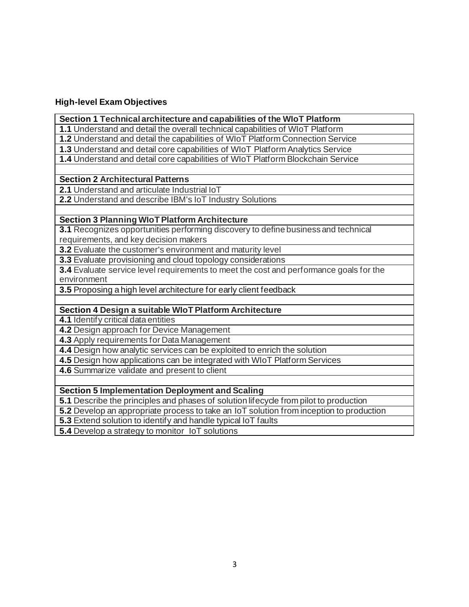#### **High-level Exam Objectives**

#### **Section 1 Technical architecture and capabilities of the WIoT Platform**

**1.1** Understand and detail the overall technical capabilities of WIoT Platform

**1.2** Understand and detail the capabilities of WIoT Platform Connection Service

**1.3** Understand and detail core capabilities of WIoT Platform Analytics Service

**1.4** Understand and detail core capabilities of WIoT Platform Blockchain Service

#### **Section 2 Architectural Patterns**

**2.1** Understand and articulate Industrial IoT

**2.2** Understand and describe IBM's IoT Industry Solutions

#### **Section 3 Planning WIoT Platform Architecture**

**3.1** Recognizes opportunities performing discovery to define business and technical requirements, and key decision makers

**3.2** Evaluate the customer's environment and maturity level

**3.3** Evaluate provisioning and cloud topology considerations

**3.4** Evaluate service level requirements to meet the cost and performance goals for the environment

**3.5** Proposing a high level architecture for early client feedback

#### **Section 4 Design a suitable WIoT Platform Architecture**

**4.1** Identify critical data entities

**4.2** Design approach for Device Management

**4.3** Apply requirements for Data Management

**4.4** Design how analytic services can be exploited to enrich the solution

**4.5** Design how applications can be integrated with WIoT Platform Services

**4.6** Summarize validate and present to client

#### **Section 5 Implementation Deployment and Scaling**

**5.1** Describe the principles and phases of solution lifecycle from pilot to production

**5.2** Develop an appropriate process to take an IoT solution from inception to production

**5.3** Extend solution to identify and handle typical IoT faults

**5.4** Develop a strategy to monitor IoT solutions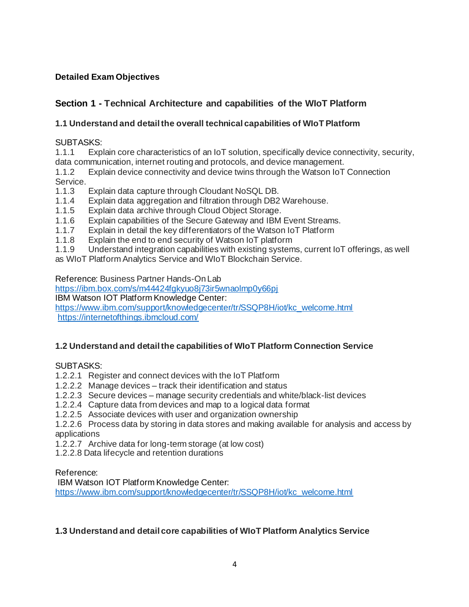## **Detailed Exam Objectives**

## **Section 1 - Technical Architecture and capabilities of the WIoT Platform**

## **1.1 Understand and detail the overall technical capabilities of WIoT Platform**

#### SUBTASKS:

1.1.1 Explain core characteristics of an IoT solution, specifically device connectivity, security, data communication, internet routing and protocols, and device management.

1.1.2 Explain device connectivity and device twins through the Watson IoT Connection

- Service.<br>1.1.3 Explain data capture through Cloudant NoSQL DB.
- 1.1.4 Explain data aggregation and filtration through DB2 Warehouse.
- 1.1.5 Explain data archive through Cloud Object Storage.
- 1.1.6 Explain capabilities of the Secure Gateway and IBM Event Streams.
- 1.1.7 Explain in detail the key differentiators of the Watson IoT Platform
- 1.1.8 Explain the end to end security of Watson IoT platform
- 1.1.9 Understand integration capabilities with existing systems, current IoT offerings, as well
- as WIoT Platform Analytics Service and WIoT Blockchain Service.

Reference: Business Partner Hands-On Lab

<https://ibm.box.com/s/m44424fgkyuo8j73ir5wnaolmp0y66pj>

IBM Watson IOT Platform Knowledge Center:

[https://www.ibm.com/support/knowledgecenter/tr/SSQP8H/iot/kc\\_welcome.html](https://www.ibm.com/support/knowledgecenter/tr/SSQP8H/iot/kc_welcome.html) <https://internetofthings.ibmcloud.com/>

#### **1.2 Understand and detail the capabilities of WIoT Platform Connection Service**

#### SUBTASKS:

1.2.2.1 Register and connect devices with the IoT Platform

- 1.2.2.2 Manage devices track their identification and status
- 1.2.2.3 Secure devices manage security credentials and white/black-list devices
- 1.2.2.4 Capture data from devices and map to a logical data format
- 1.2.2.5 Associate devices with user and organization ownership

1.2.2.6 Process data by storing in data stores and making available for analysis and access by applications

- 1.2.2.7 Archive data for long-term storage (at low cost)
- 1.2.2.8 Data lifecycle and retention durations

#### Reference:

IBM Watson IOT Platform Knowledge Center: [https://www.ibm.com/support/knowledgecenter/tr/SSQP8H/iot/kc\\_welcome.html](https://www.ibm.com/support/knowledgecenter/tr/SSQP8H/iot/kc_welcome.html)

#### **1.3 Understand and detail core capabilities of WIoT Platform Analytics Service**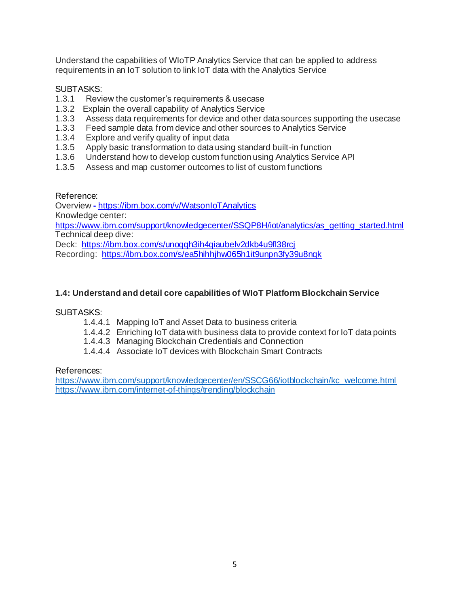Understand the capabilities of WIoTP Analytics Service that can be applied to address requirements in an IoT solution to link IoT data with the Analytics Service

#### SUBTASKS:

- 1.3.1 Review the customer's requirements & usecase
- 1.3.2 Explain the overall capability of Analytics Service
- 1.3.3 Assess data requirements for device and other data sources supporting the usecase
- 1.3.3 Feed sample data from device and other sources to Analytics Service
- 1.3.4 Explore and verify quality of input data
- 1.3.5 Apply basic transformation to data using standard built-in function
- 1.3.6 Understand how to develop custom function using Analytics Service API
- 1.3.5 Assess and map customer outcomes to list of custom functions

Reference:

Overview **-** <https://ibm.box.com/v/WatsonIoTAnalytics> Knowledge center: [https://www.ibm.com/support/knowledgecenter/SSQP8H/iot/analytics/as\\_getting\\_started.html](https://www.ibm.com/support/knowledgecenter/SSQP8H/iot/analytics/as_getting_started.html) Technical deep dive: Deck: <https://ibm.box.com/s/unoqqh3ih4qiaubelv2dkb4u9fl38rcj> Recording: https://ibm.box.com/s/ea5hihhihw065h1it9unpn3fy39u8nqk

#### **1.4: Understand and detail core capabilities of WIoT Platform Blockchain Service**

#### SUBTASKS:

- 1.4.4.1 Mapping IoT and Asset Data to business criteria
- 1.4.4.2 Enriching IoT data with business data to provide context for IoT data points
- 1.4.4.3 Managing Blockchain Credentials and Connection
- 1.4.4.4 Associate IoT devices with Blockchain Smart Contracts

#### References:

[https://www.ibm.com/support/knowledgecenter/en/SSCG66/iotblockchain/kc\\_welcome.html](https://www.ibm.com/support/knowledgecenter/en/SSCG66/iotblockchain/kc_welcome.html) <https://www.ibm.com/internet-of-things/trending/blockchain>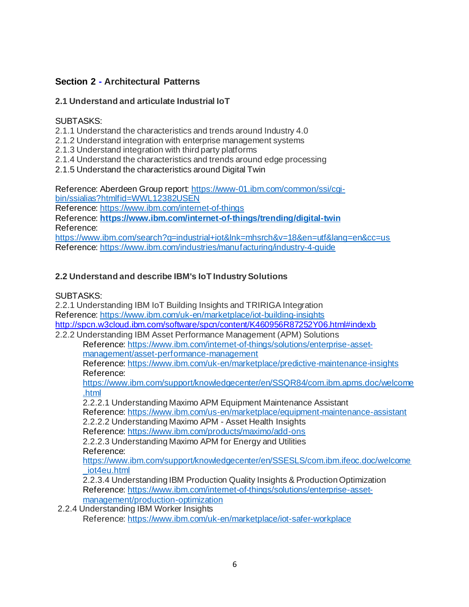## **Section 2 - Architectural Patterns**

#### **2.1 Understand and articulate Industrial IoT**

#### SUBTASKS:

- 2.1.1 Understand the characteristics and trends around Industry 4.0
- 2.1.2 Understand integration with enterprise management systems
- 2.1.3 Understand integration with third party platforms
- 2.1.4 Understand the characteristics and trends around edge processing
- 2.1.5 Understand the characteristics around Digital Twin

Reference: Aberdeen Group report[: https://www-01.ibm.com/common/ssi/cgi](https://www-01.ibm.com/common/ssi/cgi-bin/ssialias?htmlfid=WWL12382USEN)[bin/ssialias?htmlfid=WWL12382USEN](https://www-01.ibm.com/common/ssi/cgi-bin/ssialias?htmlfid=WWL12382USEN)

Reference: <https://www.ibm.com/internet-of-things>

Reference: **<https://www.ibm.com/internet-of-things/trending/digital-twin>** Reference:

<https://www.ibm.com/search?q=industrial+iot&lnk=mhsrch&v=18&en=utf&lang=en&cc=us> Reference: <https://www.ibm.com/industries/manufacturing/industry-4-guide>

## **2.2 Understand and describe IBM's IoT Industry Solutions**

#### SUBTASKS:

2.2.1 Understanding IBM IoT Building Insights and TRIRIGA Integration Reference: <https://www.ibm.com/uk-en/marketplace/iot-building-insights> <http://spcn.w3cloud.ibm.com/software/spcn/content/K460956R87252Y06.html#indexb> 2.2.2 Understanding IBM Asset Performance Management (APM) Solutions

Reference: [https://www.ibm.com/internet-of-things/solutions/enterprise-asset](https://www.ibm.com/internet-of-things/solutions/enterprise-asset-management/asset-performance-management)[management/asset-performance-management](https://www.ibm.com/internet-of-things/solutions/enterprise-asset-management/asset-performance-management)

Reference: <https://www.ibm.com/uk-en/marketplace/predictive-maintenance-insights> Reference:

[https://www.ibm.com/support/knowledgecenter/en/SSQR84/com.ibm.apms.doc/welcome](https://www.ibm.com/support/knowledgecenter/en/SSQR84/com.ibm.apms.doc/welcome.html) [.html](https://www.ibm.com/support/knowledgecenter/en/SSQR84/com.ibm.apms.doc/welcome.html)

2.2.2.1 Understanding Maximo APM Equipment Maintenance Assistant Reference: <https://www.ibm.com/us-en/marketplace/equipment-maintenance-assistant>

2.2.2.2 Understanding Maximo APM - Asset Health Insights

Reference: <https://www.ibm.com/products/maximo/add-ons>

2.2.2.3 Understanding Maximo APM for Energy and Utilities Reference:

[https://www.ibm.com/support/knowledgecenter/en/SSESLS/com.ibm.ifeoc.doc/welcome](https://www.ibm.com/support/knowledgecenter/en/SSESLS/com.ibm.ifeoc.doc/welcome_iot4eu.html) [\\_iot4eu.html](https://www.ibm.com/support/knowledgecenter/en/SSESLS/com.ibm.ifeoc.doc/welcome_iot4eu.html)

2.2.3.4 Understanding IBM Production Quality Insights & Production Optimization Reference: [https://www.ibm.com/internet-of-things/solutions/enterprise-asset](https://www.ibm.com/internet-of-things/solutions/enterprise-asset-management/production-optimization)[management/production-optimization](https://www.ibm.com/internet-of-things/solutions/enterprise-asset-management/production-optimization)

2.2.4 Understanding IBM Worker Insights Reference[: https://www.ibm.com/uk-en/marketplace/iot-safer-workplace](https://www.ibm.com/uk-en/marketplace/iot-safer-workplace)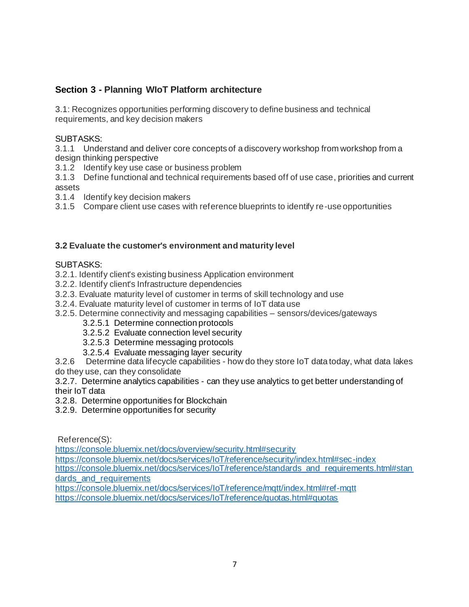## **Section 3 - Planning WIoT Platform architecture**

3.1: Recognizes opportunities performing discovery to define business and technical requirements, and key decision makers

#### SUBTASKS:

3.1.1 Understand and deliver core concepts of a discovery workshop from workshop from a design thinking perspective

3.1.2 Identify key use case or business problem

3.1.3 Define functional and technical requirements based off of use case, priorities and current assets

3.1.4 Identify key decision makers

3.1.5 Compare client use cases with reference blueprints to identify re-use opportunities

#### **3.2 Evaluate the customer's environment and maturity level**

#### SUBTASKS:

- 3.2.1. Identify client's existing business Application environment
- 3.2.2. Identify client's Infrastructure dependencies
- 3.2.3. Evaluate maturity level of customer in terms of skill technology and use
- 3.2.4. Evaluate maturity level of customer in terms of IoT data use
- 3.2.5. Determine connectivity and messaging capabilities sensors/devices/gateways
	- 3.2.5.1 Determine connection protocols
	- 3.2.5.2 Evaluate connection level security
	- 3.2.5.3 Determine messaging protocols
	- 3.2.5.4 Evaluate messaging layer security

3.2.6 Determine data lifecycle capabilities - how do they store IoT data today, what data lakes do they use, can they consolidate

3.2.7. Determine analytics capabilities - can they use analytics to get better understanding of their IoT data

- 3.2.8. Determine opportunities for Blockchain
- 3.2.9. Determine opportunities for security

Reference(S):

<https://console.bluemix.net/docs/overview/security.html#security>

<https://console.bluemix.net/docs/services/IoT/reference/security/index.html#sec-index>

[https://console.bluemix.net/docs/services/IoT/reference/standards\\_and\\_requirements.html#stan](https://console.bluemix.net/docs/services/IoT/reference/standards_and_requirements.html#standards_and_requirements) dards and requirements

<https://console.bluemix.net/docs/services/IoT/reference/mqtt/index.html#ref-mqtt> <https://console.bluemix.net/docs/services/IoT/reference/quotas.html#quotas>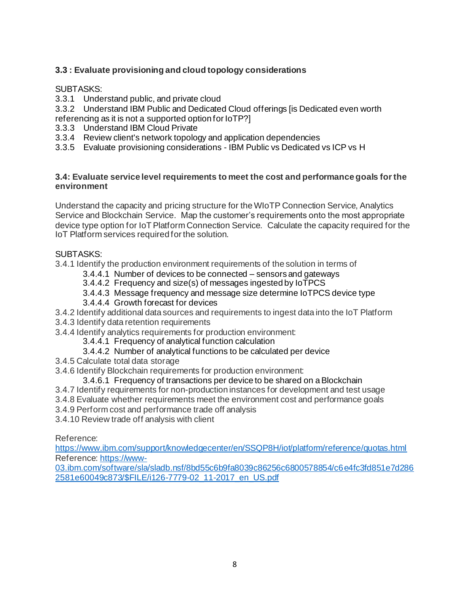## **3.3 : Evaluate provisioning and cloud topology considerations**

#### SUBTASKS:

3.3.1 Understand public, and private cloud

3.3.2 Understand IBM Public and Dedicated Cloud offerings [is Dedicated even worth referencing as it is not a supported option for IoTP?]

- 3.3.3 Understand IBM Cloud Private
- 3.3.4 Review client's network topology and application dependencies
- 3.3.5 Evaluate provisioning considerations IBM Public vs Dedicated vs ICP vs H

#### **3.4: Evaluate service level requirements to meet the cost and performance goals for the environment**

Understand the capacity and pricing structure for the WIoTP Connection Service, Analytics Service and Blockchain Service. Map the customer's requirements onto the most appropriate device type option for IoT Platform Connection Service. Calculate the capacity required for the IoT Platform services required for the solution.

#### SUBTASKS:

3.4.1 Identify the production environment requirements of the solution in terms of

- 3.4.4.1 Number of devices to be connected sensors and gateways
- 3.4.4.2 Frequency and size(s) of messages ingested by IoTPCS
- 3.4.4.3 Message frequency and message size determine IoTPCS device type
- 3.4.4.4 Growth forecast for devices
- 3.4.2 Identify additional data sources and requirements to ingest data into the IoT Platform
- 3.4.3 Identify data retention requirements
- 3.4.4 Identify analytics requirements for production environment:
	- 3.4.4.1 Frequency of analytical function calculation
	- 3.4.4.2 Number of analytical functions to be calculated per device
- 3.4.5 Calculate total data storage
- 3.4.6 Identify Blockchain requirements for production environment:
	- 3.4.6.1 Frequency of transactions per device to be shared on a Blockchain
- 3.4.7 Identify requirements for non-production instances for development and test usage
- 3.4.8 Evaluate whether requirements meet the environment cost and performance goals
- 3.4.9 Perform cost and performance trade off analysis
- 3.4.10 Review trade off analysis with client

Reference:

<https://www.ibm.com/support/knowledgecenter/en/SSQP8H/iot/platform/reference/quotas.html> Reference: [https://www-](https://www-03.ibm.com/software/sla/sladb.nsf/8bd55c6b9fa8039c86256c6800578854/c6e4fc3fd851e7d2862581e60049c873/$FILE/i126-7779-02_11-2017_en_US.pdf)

[03.ibm.com/software/sla/sladb.nsf/8bd55c6b9fa8039c86256c6800578854/c6e4fc3fd851e7d286](https://www-03.ibm.com/software/sla/sladb.nsf/8bd55c6b9fa8039c86256c6800578854/c6e4fc3fd851e7d2862581e60049c873/$FILE/i126-7779-02_11-2017_en_US.pdf) [2581e60049c873/\\$FILE/i126-7779-02\\_11-2017\\_en\\_US.pdf](https://www-03.ibm.com/software/sla/sladb.nsf/8bd55c6b9fa8039c86256c6800578854/c6e4fc3fd851e7d2862581e60049c873/$FILE/i126-7779-02_11-2017_en_US.pdf)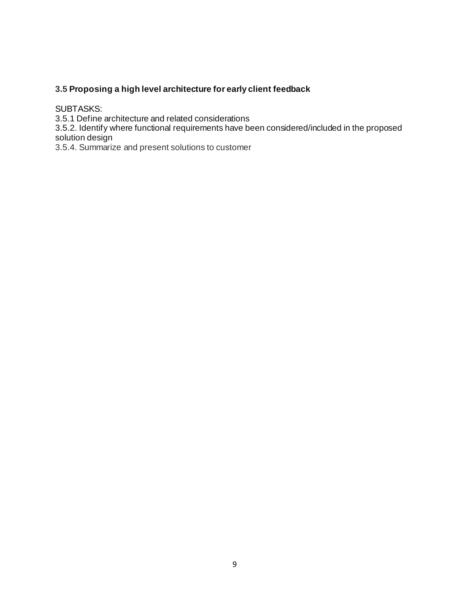#### **3.5 Proposing a high level architecture for early client feedback**

SUBTASKS:

3.5.1 Define architecture and related considerations

3.5.2. Identify where functional requirements have been considered/included in the proposed solution design

3.5.4. Summarize and present solutions to customer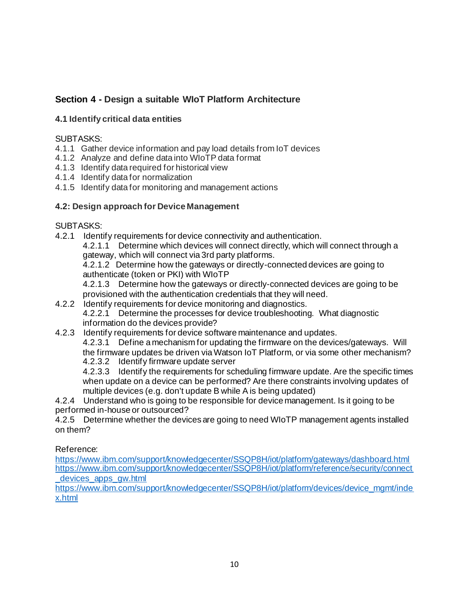## **Section 4 - Design a suitable WIoT Platform Architecture**

#### **4.1 Identify critical data entities**

#### SUBTASKS:

- 4.1.1 Gather device information and pay load details from IoT devices
- 4.1.2 Analyze and define data into WIoTP data format
- 4.1.3 Identify data required for historical view
- 4.1.4 Identify data for normalization
- 4.1.5 Identify data for monitoring and management actions

## **4.2: Design approach for Device Management**

## SUBTASKS:

4.2.1 Identify requirements for device connectivity and authentication.

4.2.1.1 Determine which devices will connect directly, which will connect through a gateway, which will connect via 3rd party platforms.

4.2.1.2 Determine how the gateways or directly-connected devices are going to authenticate (token or PKI) with WIoTP

4.2.1.3 Determine how the gateways or directly-connected devices are going to be provisioned with the authentication credentials that they will need.

- 4.2.2 Identify requirements for device monitoring and diagnostics. 4.2.2.1 Determine the processes for device troubleshooting. What diagnostic
	- information do the devices provide?
- 4.2.3 Identify requirements for device software maintenance and updates.

4.2.3.1 Define a mechanism for updating the firmware on the devices/gateways. Will the firmware updates be driven via Watson IoT Platform, or via some other mechanism?

4.2.3.2 Identify firmware update server

4.2.3.3 Identify the requirements for scheduling firmware update. Are the specific times when update on a device can be performed? Are there constraints involving updates of multiple devices (e.g. don't update B while A is being updated)

4.2.4 Understand who is going to be responsible for device management. Is it going to be performed in-house or outsourced?

4.2.5 Determine whether the devices are going to need WIoTP management agents installed on them?

Reference:

<https://www.ibm.com/support/knowledgecenter/SSQP8H/iot/platform/gateways/dashboard.html> [https://www.ibm.com/support/knowledgecenter/SSQP8H/iot/platform/reference/security/connect](https://www.ibm.com/support/knowledgecenter/SSQP8H/iot/platform/reference/security/connect_devices_apps_gw.html) [\\_devices\\_apps\\_gw.html](https://www.ibm.com/support/knowledgecenter/SSQP8H/iot/platform/reference/security/connect_devices_apps_gw.html)

[https://www.ibm.com/support/knowledgecenter/SSQP8H/iot/platform/devices/device\\_mgmt/inde](https://www.ibm.com/support/knowledgecenter/SSQP8H/iot/platform/devices/device_mgmt/index.html) [x.html](https://www.ibm.com/support/knowledgecenter/SSQP8H/iot/platform/devices/device_mgmt/index.html)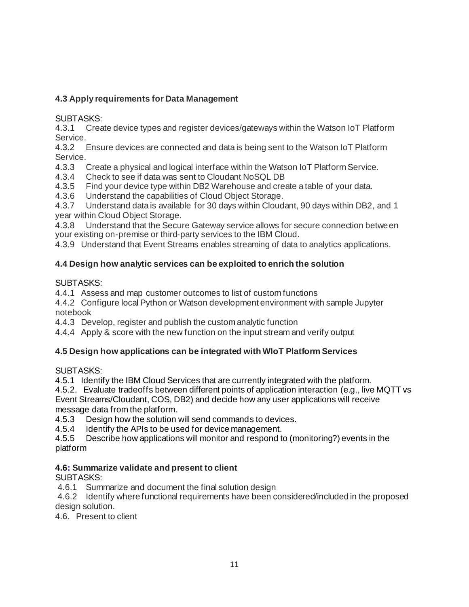## **4.3 Apply requirements for Data Management**

#### SUBTASKS:

4.3.1 Create device types and register devices/gateways within the Watson IoT Platform Service.

4.3.2 Ensure devices are connected and data is being sent to the Watson IoT Platform Service.

- 4.3.3 Create a physical and logical interface within the Watson IoT Platform Service.
- 4.3.4 Check to see if data was sent to Cloudant NoSQL DB

4.3.5 Find your device type within DB2 Warehouse and create a table of your data.

4.3.6 Understand the capabilities of Cloud Object Storage.

4.3.7 Understand data is available for 30 days within Cloudant, 90 days within DB2, and 1 year within Cloud Object Storage.

4.3.8 Understand that the Secure Gateway service allows for secure connection between your existing on-premise or third-party services to the IBM Cloud.

4.3.9 Understand that Event Streams enables streaming of data to analytics applications.

## **4.4 Design how analytic services can be exploited to enrich the solution**

#### SUBTASKS:

4.4.1 Assess and map customer outcomes to list of custom functions

4.4.2 Configure local Python or Watson development environment with sample Jupyter notebook

4.4.3 Develop, register and publish the custom analytic function

4.4.4Apply & score with the new function on the input stream and verify output

#### **4.5 Design how applications can be integrated with WIoT Platform Services**

SUBTASKS:

4.5.1 Identify the IBM Cloud Services that are currently integrated with the platform.

4.5.2. Evaluate tradeoffs between different points of application interaction (e.g., live MQTT vs Event Streams/Cloudant, COS, DB2) and decide how any user applications will receive message data from the platform.

4.5.3 Design how the solution will send commands to devices.

4.5.4 Identify the APIs to be used for device management.

4.5.5 Describe how applications will monitor and respond to (monitoring?) events in the platform

#### **4.6: Summarize validate and present to client**

#### SUBTASKS:

4.6.1 Summarize and document the final solution design

4.6.2 Identify where functional requirements have been considered/included in the proposed design solution.

4.6. Present to client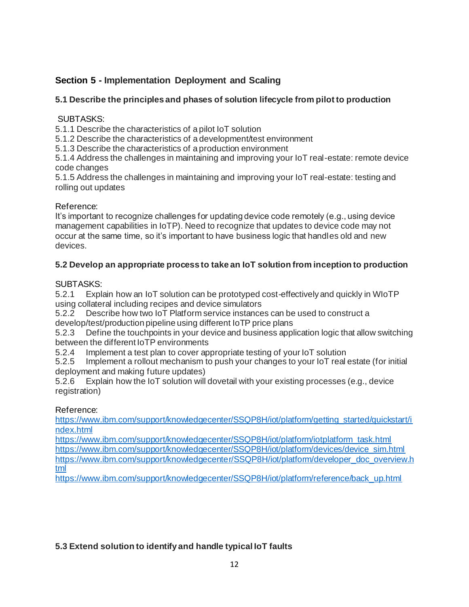## **Section 5 - Implementation Deployment and Scaling**

## **5.1 Describe the principles and phases of solution lifecycle from pilot to production**

#### SUBTASKS:

5.1.1 Describe the characteristics of a pilot IoT solution

5.1.2 Describe the characteristics of a development/test environment

5.1.3 Describe the characteristics of a production environment

5.1.4 Address the challenges in maintaining and improving your IoT real-estate: remote device code changes

5.1.5 Address the challenges in maintaining and improving your IoT real-estate: testing and rolling out updates

## Reference:

It's important to recognize challenges for updating device code remotely (e.g., using device management capabilities in IoTP). Need to recognize that updates to device code may not occur at the same time, so it's important to have business logic that handles old and new devices.

## **5.2 Develop an appropriate process to take an IoT solution from inception to production**

## SUBTASKS:

5.2.1 Explain how an IoT solution can be prototyped cost-effectively and quickly in WIoTP using collateral including recipes and device simulators

5.2.2 Describe how two IoT Platform service instances can be used to construct a develop/test/production pipeline using different IoTP price plans

5.2.3 Define the touchpoints in your device and business application logic that allow switching between the different IoTP environments

5.2.4 Implement a test plan to cover appropriate testing of your IoT solution

5.2.5 Implement a rollout mechanism to push your changes to your IoT real estate (for initial deployment and making future updates)

5.2.6 Explain how the IoT solution will dovetail with your existing processes (e.g., device registration)

## Reference:

[https://www.ibm.com/support/knowledgecenter/SSQP8H/iot/platform/getting\\_started/quickstart/i](https://www.ibm.com/support/knowledgecenter/SSQP8H/iot/platform/getting_started/quickstart/index.html) [ndex.html](https://www.ibm.com/support/knowledgecenter/SSQP8H/iot/platform/getting_started/quickstart/index.html)

[https://www.ibm.com/support/knowledgecenter/SSQP8H/iot/platform/iotplatform\\_task.html](https://www.ibm.com/support/knowledgecenter/SSQP8H/iot/platform/iotplatform_task.html) [https://www.ibm.com/support/knowledgecenter/SSQP8H/iot/platform/devices/device\\_sim.html](https://www.ibm.com/support/knowledgecenter/SSQP8H/iot/platform/devices/device_sim.html) [https://www.ibm.com/support/knowledgecenter/SSQP8H/iot/platform/developer\\_doc\\_overview.h](https://www.ibm.com/support/knowledgecenter/SSQP8H/iot/platform/developer_doc_overview.html) [tml](https://www.ibm.com/support/knowledgecenter/SSQP8H/iot/platform/developer_doc_overview.html)

[https://www.ibm.com/support/knowledgecenter/SSQP8H/iot/platform/reference/back\\_up.html](https://www.ibm.com/support/knowledgecenter/SSQP8H/iot/platform/reference/back_up.html)

## **5.3 Extend solution to identify and handle typical IoT faults**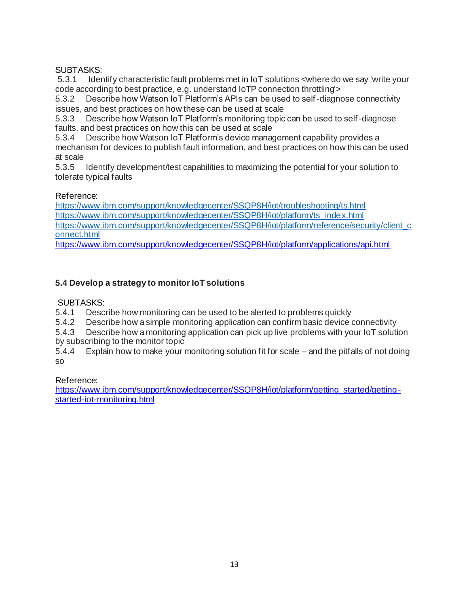#### SUBTASKS:

5.3.1 Identify characteristic fault problems met in IoT solutions <where do we say 'write your code according to best practice, e.g. understand IoTP connection throttling'>

5.3.2 Describe how Watson IoT Platform's APIs can be used to self-diagnose connectivity issues, and best practices on how these can be used at scale

5.3.3 Describe how Watson IoT Platform's monitoring topic can be used to self-diagnose faults, and best practices on how this can be used at scale

5.3.4 Describe how Watson IoT Platform's device management capability provides a mechanism for devices to publish fault information, and best practices on how this can be used at scale

5.3.5 Identify development/test capabilities to maximizing the potential for your solution to tolerate typical faults

#### Reference:

<https://www.ibm.com/support/knowledgecenter/SSQP8H/iot/troubleshooting/ts.html> [https://www.ibm.com/support/knowledgecenter/SSQP8H/iot/platform/ts\\_index.html](https://www.ibm.com/support/knowledgecenter/SSQP8H/iot/platform/ts_index.html) [https://www.ibm.com/support/knowledgecenter/SSQP8H/iot/platform/reference/security/client\\_c](https://www.ibm.com/support/knowledgecenter/SSQP8H/iot/platform/reference/security/client_connect.html) [onnect.html](https://www.ibm.com/support/knowledgecenter/SSQP8H/iot/platform/reference/security/client_connect.html)

<https://www.ibm.com/support/knowledgecenter/SSQP8H/iot/platform/applications/api.html>

## **5.4 Develop a strategy to monitor IoT solutions**

SUBTASKS:

5.4.1 Describe how monitoring can be used to be alerted to problems quickly

5.4.2 Describe how a simple monitoring application can confirm basic device connectivity

5.4.3 Describe how a monitoring application can pick up live problems with your IoT solution by subscribing to the monitor topic

5.4.4 Explain how to make your monitoring solution fit for scale – and the pitfalls of not doing so

#### Reference:

[https://www.ibm.com/support/knowledgecenter/SSQP8H/iot/platform/getting\\_started/getting](https://www.ibm.com/support/knowledgecenter/SSQP8H/iot/platform/getting_started/getting-started-iot-monitoring.html)[started-iot-monitoring.html](https://www.ibm.com/support/knowledgecenter/SSQP8H/iot/platform/getting_started/getting-started-iot-monitoring.html)